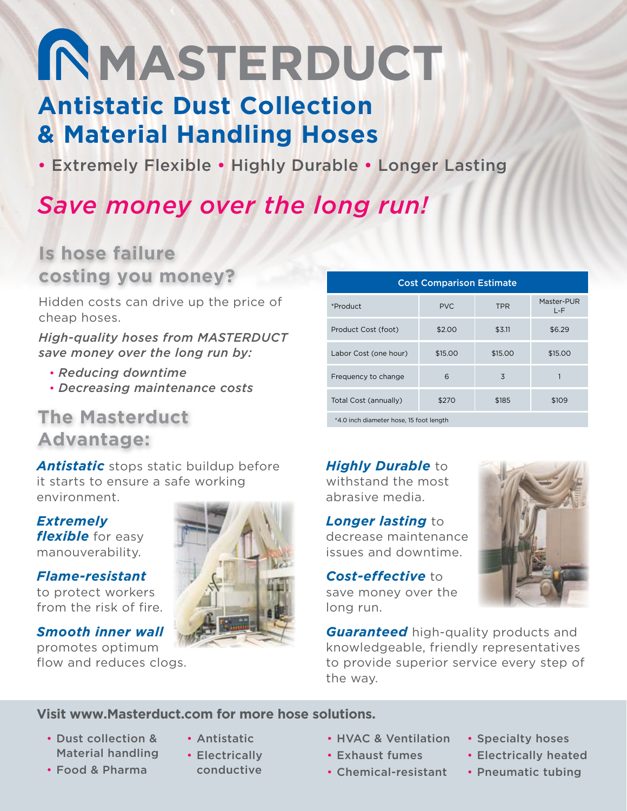# NMASTERDUCT

# **Antistatic Dust Collection & Material Handling Hoses**

• Extremely Flexible • Highly Durable • Longer Lasting

## *Save money over the long run!*

## **Is hose failure costing you money?**

Hidden costs can drive up the price of cheap hoses.

*High-quality hoses from MASTERDUCT save money over the long run by:*

- *Reducing downtime*
- *Decreasing maintenance costs*

## **The Masterduct Advantage:**

*Antistatic* stops static buildup before it starts to ensure a safe working environment.

## *Extremely*

*flexible* for easy manouverability.

*Flame-resistant*  to protect workers from the risk of fire.

### *Smooth inner wall*

promotes optimum flow and reduces clogs.



| <b>Cost Comparison Estimate</b>            |            |            |                     |
|--------------------------------------------|------------|------------|---------------------|
| *Product                                   | <b>PVC</b> | <b>TPR</b> | Master-PUR<br>$L-F$ |
| Product Cost (foot)                        | \$2.00     | \$3.11     | \$6.29              |
| Labor Cost (one hour)                      | \$15.00    | \$15.00    | \$15.00             |
| Frequency to change                        | 6          | 3          |                     |
| Total Cost (annually)                      | \$270      | \$185      | \$109               |
| $*4.0$ inch diameter hese $15$ feet length |            |            |                     |

## *Highly Durable* to

withstand the most abrasive media.

*Longer lasting* to decrease maintenance issues and downtime.

*Cost-effective* to save money over the long run.

*Guaranteed* high-quality products and knowledgeable, friendly representatives to provide superior service every step of the way.

## **Visit www.Masterduct.com for more hose solutions.**

- Dust collection & Material handling
- Antistatic
- Electrically
- Food & Pharma
- conductive
- HVAC & Ventilation
- Exhaust fumes
- Chemical-resistant
- Specialty hoses
- Electrically heated
- Pneumatic tubing